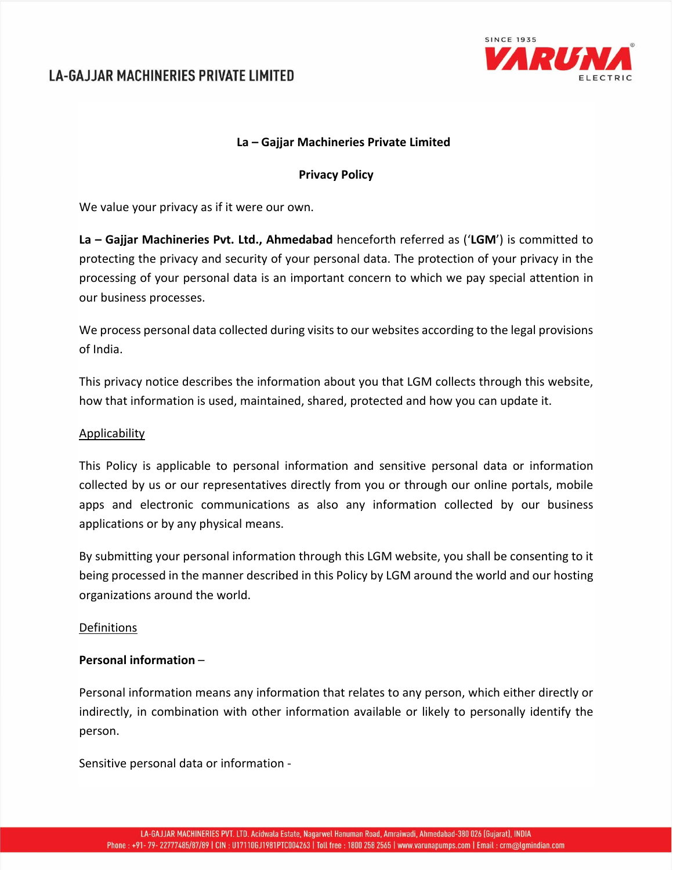

## **La – Gajjar Machineries Private Limited**

### **Privacy Policy**

We value your privacy as if it were our own.

**La – Gajjar Machineries Pvt. Ltd., Ahmedabad** henceforth referred as ('**LGM**') is committed to protecting the privacy and security of your personal data. The protection of your privacy in the processing of your personal data is an important concern to which we pay special attention in our business processes.

We process personal data collected during visits to our websites according to the legal provisions of India.

This privacy notice describes the information about you that LGM collects through this website, how that information is used, maintained, shared, protected and how you can update it.

#### Applicability

This Policy is applicable to personal information and sensitive personal data or information collected by us or our representatives directly from you or through our online portals, mobile apps and electronic communications as also any information collected by our business applications or by any physical means.

By submitting your personal information through this LGM website, you shall be consenting to it being processed in the manner described in this Policy by LGM around the world and our hosting organizations around the world.

#### Definitions

### **Personal information** –

Personal information means any information that relates to any person, which either directly or indirectly, in combination with other information available or likely to personally identify the person.

Sensitive personal data or information ‐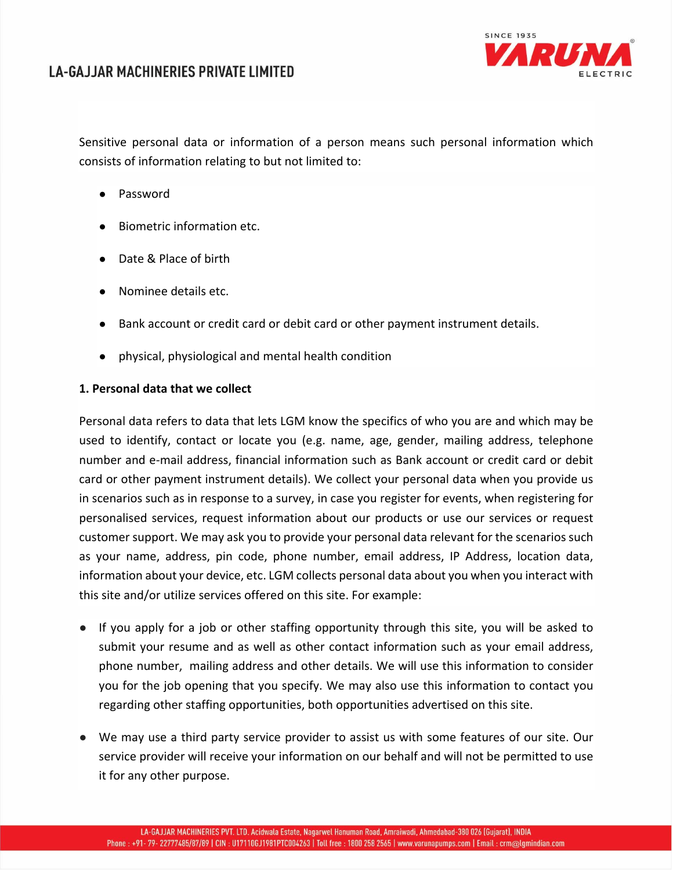

Sensitive personal data or information of a person means such personal information which consists of information relating to but not limited to:

- Password
- Biometric information etc.
- Date & Place of birth
- Nominee details etc.
- Bank account or credit card or debit card or other payment instrument details.
- physical, physiological and mental health condition

## **1. Personal data that we collect**

Personal data refers to data that lets LGM know the specifics of who you are and which may be used to identify, contact or locate you (e.g. name, age, gender, mailing address, telephone number and e‐mail address, financial information such as Bank account or credit card or debit card or other payment instrument details). We collect your personal data when you provide us in scenarios such as in response to a survey, in case you register for events, when registering for personalised services, request information about our products or use our services or request customer support. We may ask you to provide your personal data relevant for the scenarios such as your name, address, pin code, phone number, email address, IP Address, location data, information about your device, etc. LGM collects personal data about you when you interact with this site and/or utilize services offered on this site. For example:

- If you apply for a job or other staffing opportunity through this site, you will be asked to submit your resume and as well as other contact information such as your email address, phone number, mailing address and other details. We will use this information to consider you for the job opening that you specify. We may also use this information to contact you regarding other staffing opportunities, both opportunities advertised on this site.
- We may use a third party service provider to assist us with some features of our site. Our service provider will receive your information on our behalf and will not be permitted to use it for any other purpose.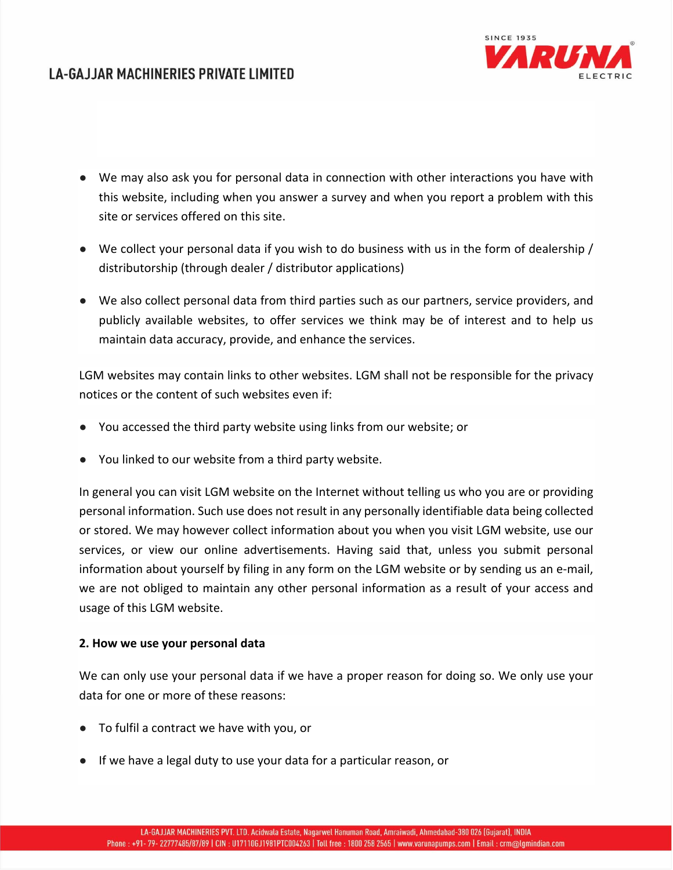

- We may also ask you for personal data in connection with other interactions you have with this website, including when you answer a survey and when you report a problem with this site or services offered on this site.
- We collect your personal data if you wish to do business with us in the form of dealership / distributorship (through dealer / distributor applications)
- We also collect personal data from third parties such as our partners, service providers, and publicly available websites, to offer services we think may be of interest and to help us maintain data accuracy, provide, and enhance the services.

LGM websites may contain links to other websites. LGM shall not be responsible for the privacy notices or the content of such websites even if:

- You accessed the third party website using links from our website; or
- You linked to our website from a third party website.

In general you can visit LGM website on the Internet without telling us who you are or providing personal information. Such use does not result in any personally identifiable data being collected or stored. We may however collect information about you when you visit LGM website, use our services, or view our online advertisements. Having said that, unless you submit personal information about yourself by filing in any form on the LGM website or by sending us an e‐mail, we are not obliged to maintain any other personal information as a result of your access and usage of this LGM website.

### **2. How we use your personal data**

We can only use your personal data if we have a proper reason for doing so. We only use your data for one or more of these reasons:

- To fulfil a contract we have with you, or
- If we have a legal duty to use your data for a particular reason, or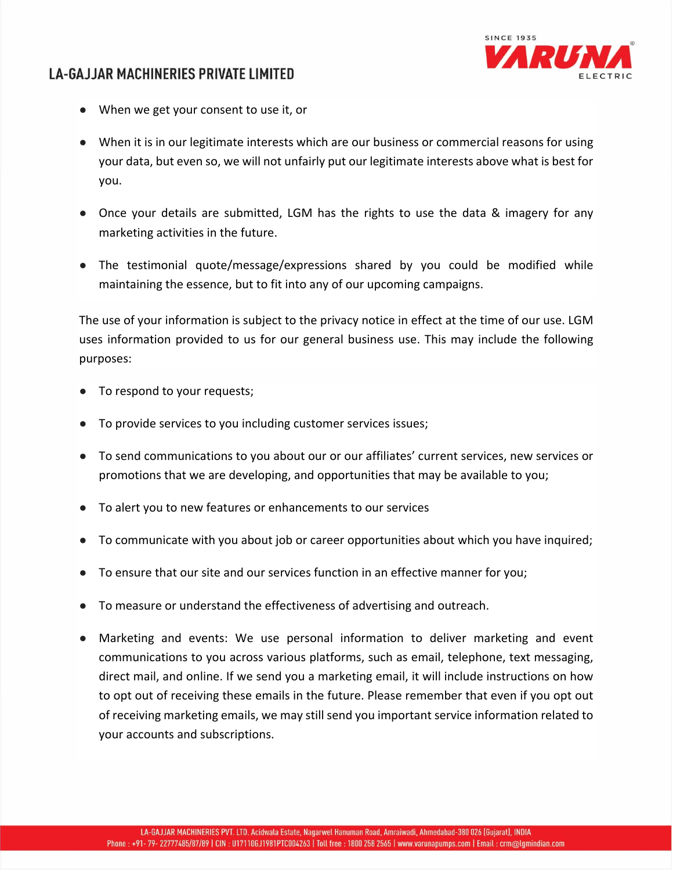

- When we get your consent to use it, or
- When it is in our legitimate interests which are our business or commercial reasons for using your data, but even so, we will not unfairly put our legitimate interests above what is best for you.
- Once your details are submitted, LGM has the rights to use the data & imagery for any marketing activities in the future.
- The testimonial quote/message/expressions shared by you could be modified while maintaining the essence, but to fit into any of our upcoming campaigns.

The use of your information is subject to the privacy notice in effect at the time of our use. LGM uses information provided to us for our general business use. This may include the following purposes:

- To respond to your requests;
- To provide services to you including customer services issues;
- To send communications to you about our or our affiliates' current services, new services or promotions that we are developing, and opportunities that may be available to you;
- To alert you to new features or enhancements to our services
- To communicate with you about job or career opportunities about which you have inquired;
- To ensure that our site and our services function in an effective manner for you;
- To measure or understand the effectiveness of advertising and outreach.
- Marketing and events: We use personal information to deliver marketing and event communications to you across various platforms, such as email, telephone, text messaging, direct mail, and online. If we send you a marketing email, it will include instructions on how to opt out of receiving these emails in the future. Please remember that even if you opt out of receiving marketing emails, we may still send you important service information related to your accounts and subscriptions.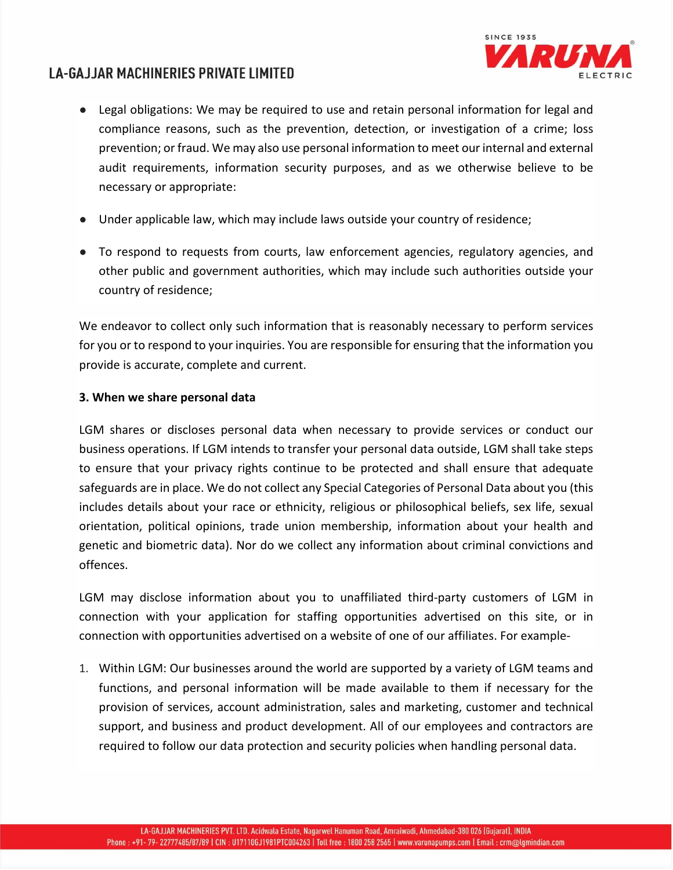

- Legal obligations: We may be required to use and retain personal information for legal and compliance reasons, such as the prevention, detection, or investigation of a crime; loss prevention; or fraud. We may also use personal information to meet our internal and external audit requirements, information security purposes, and as we otherwise believe to be necessary or appropriate:
- Under applicable law, which may include laws outside your country of residence;
- To respond to requests from courts, law enforcement agencies, regulatory agencies, and other public and government authorities, which may include such authorities outside your country of residence;

We endeavor to collect only such information that is reasonably necessary to perform services for you or to respond to your inquiries. You are responsible for ensuring that the information you provide is accurate, complete and current.

## **3. When we share personal data**

LGM shares or discloses personal data when necessary to provide services or conduct our business operations. If LGM intends to transfer your personal data outside, LGM shall take steps to ensure that your privacy rights continue to be protected and shall ensure that adequate safeguards are in place. We do not collect any Special Categories of Personal Data about you (this includes details about your race or ethnicity, religious or philosophical beliefs, sex life, sexual orientation, political opinions, trade union membership, information about your health and genetic and biometric data). Nor do we collect any information about criminal convictions and offences.

LGM may disclose information about you to unaffiliated third-party customers of LGM in connection with your application for staffing opportunities advertised on this site, or in connection with opportunities advertised on a website of one of our affiliates. For example‐

1. Within LGM: Our businesses around the world are supported by a variety of LGM teams and functions, and personal information will be made available to them if necessary for the provision of services, account administration, sales and marketing, customer and technical support, and business and product development. All of our employees and contractors are required to follow our data protection and security policies when handling personal data.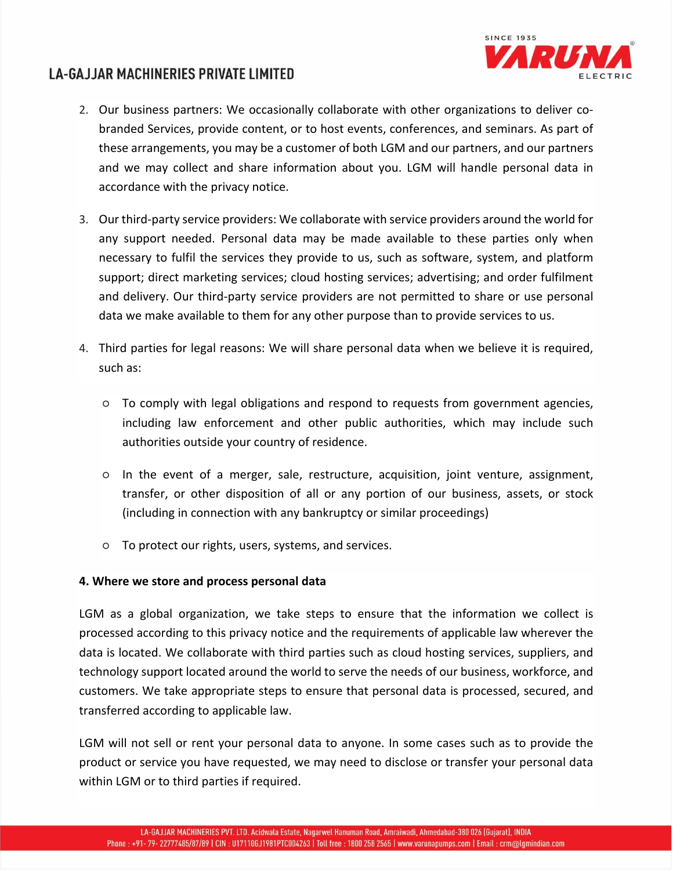

- 2. Our business partners: We occasionally collaborate with other organizations to deliver co‐ branded Services, provide content, or to host events, conferences, and seminars. As part of these arrangements, you may be a customer of both LGM and our partners, and our partners and we may collect and share information about you. LGM will handle personal data in accordance with the privacy notice.
- 3. Our third-party service providers: We collaborate with service providers around the world for any support needed. Personal data may be made available to these parties only when necessary to fulfil the services they provide to us, such as software, system, and platform support; direct marketing services; cloud hosting services; advertising; and order fulfilment and delivery. Our third-party service providers are not permitted to share or use personal data we make available to them for any other purpose than to provide services to us.
- 4. Third parties for legal reasons: We will share personal data when we believe it is required, such as:
	- To comply with legal obligations and respond to requests from government agencies, including law enforcement and other public authorities, which may include such authorities outside your country of residence.
	- In the event of a merger, sale, restructure, acquisition, joint venture, assignment, transfer, or other disposition of all or any portion of our business, assets, or stock (including in connection with any bankruptcy or similar proceedings)
	- To protect our rights, users, systems, and services.

### **4. Where we store and process personal data**

LGM as a global organization, we take steps to ensure that the information we collect is processed according to this privacy notice and the requirements of applicable law wherever the data is located. We collaborate with third parties such as cloud hosting services, suppliers, and technology support located around the world to serve the needs of our business, workforce, and customers. We take appropriate steps to ensure that personal data is processed, secured, and transferred according to applicable law.

LGM will not sell or rent your personal data to anyone. In some cases such as to provide the product or service you have requested, we may need to disclose or transfer your personal data within LGM or to third parties if required.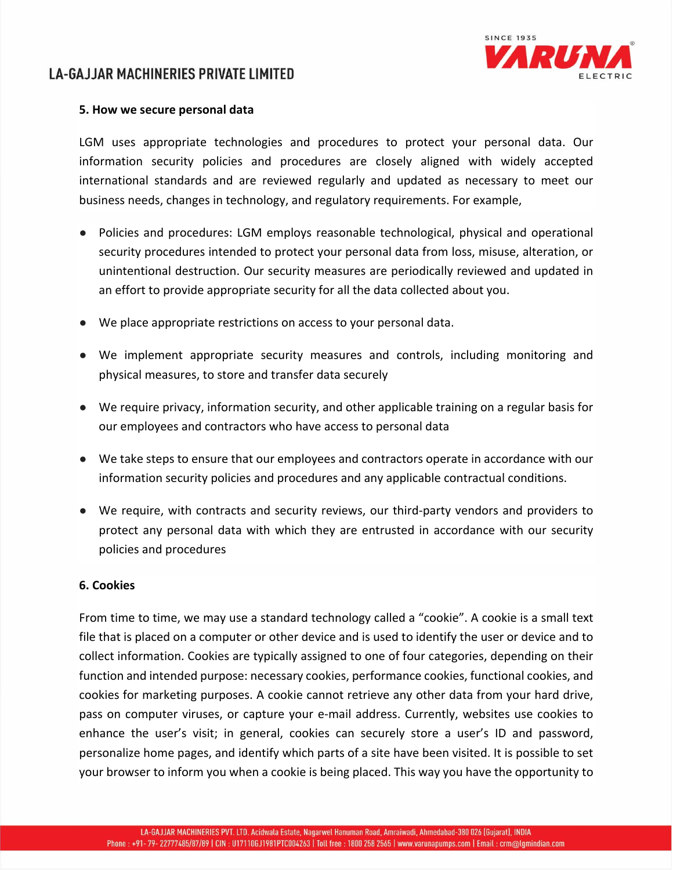

### **5. How we secure personal data**

LGM uses appropriate technologies and procedures to protect your personal data. Our information security policies and procedures are closely aligned with widely accepted international standards and are reviewed regularly and updated as necessary to meet our business needs, changes in technology, and regulatory requirements. For example,

- Policies and procedures: LGM employs reasonable technological, physical and operational security procedures intended to protect your personal data from loss, misuse, alteration, or unintentional destruction. Our security measures are periodically reviewed and updated in an effort to provide appropriate security for all the data collected about you.
- We place appropriate restrictions on access to your personal data.
- We implement appropriate security measures and controls, including monitoring and physical measures, to store and transfer data securely
- We require privacy, information security, and other applicable training on a regular basis for our employees and contractors who have access to personal data
- We take steps to ensure that our employees and contractors operate in accordance with our information security policies and procedures and any applicable contractual conditions.
- We require, with contracts and security reviews, our third-party vendors and providers to protect any personal data with which they are entrusted in accordance with our security policies and procedures

#### **6. Cookies**

From time to time, we may use a standard technology called a "cookie". A cookie is a small text file that is placed on a computer or other device and is used to identify the user or device and to collect information. Cookies are typically assigned to one of four categories, depending on their function and intended purpose: necessary cookies, performance cookies, functional cookies, and cookies for marketing purposes. A cookie cannot retrieve any other data from your hard drive, pass on computer viruses, or capture your e‐mail address. Currently, websites use cookies to enhance the user's visit; in general, cookies can securely store a user's ID and password, personalize home pages, and identify which parts of a site have been visited. It is possible to set your browser to inform you when a cookie is being placed. This way you have the opportunity to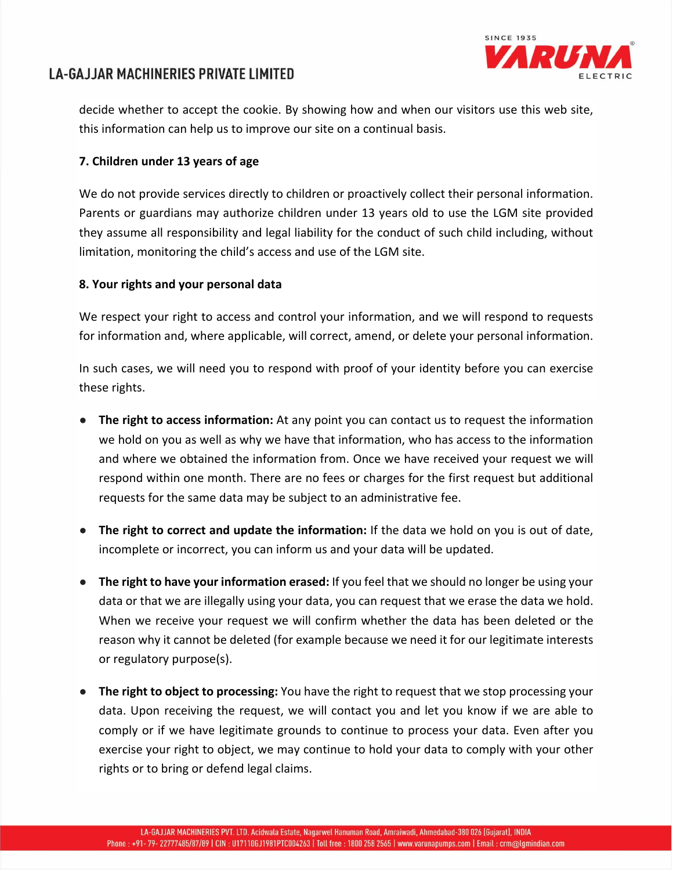



decide whether to accept the cookie. By showing how and when our visitors use this web site, this information can help us to improve our site on a continual basis.

## **7. Children under 13 years of age**

We do not provide services directly to children or proactively collect their personal information. Parents or guardians may authorize children under 13 years old to use the LGM site provided they assume all responsibility and legal liability for the conduct of such child including, without limitation, monitoring the child's access and use of the LGM site.

## **8. Your rights and your personal data**

We respect your right to access and control your information, and we will respond to requests for information and, where applicable, will correct, amend, or delete your personal information.

In such cases, we will need you to respond with proof of your identity before you can exercise these rights.

- **The right to access information:** At any point you can contact us to request the information we hold on you as well as why we have that information, who has access to the information and where we obtained the information from. Once we have received your request we will respond within one month. There are no fees or charges for the first request but additional requests for the same data may be subject to an administrative fee.
- **The right to correct and update the information:** If the data we hold on you is out of date, incomplete or incorrect, you can inform us and your data will be updated.
- **The right to have your information erased:** If you feel that we should no longer be using your data or that we are illegally using your data, you can request that we erase the data we hold. When we receive your request we will confirm whether the data has been deleted or the reason why it cannot be deleted (for example because we need it for our legitimate interests or regulatory purpose(s).
- **The right to object to processing:** You have the right to request that we stop processing your data. Upon receiving the request, we will contact you and let you know if we are able to comply or if we have legitimate grounds to continue to process your data. Even after you exercise your right to object, we may continue to hold your data to comply with your other rights or to bring or defend legal claims.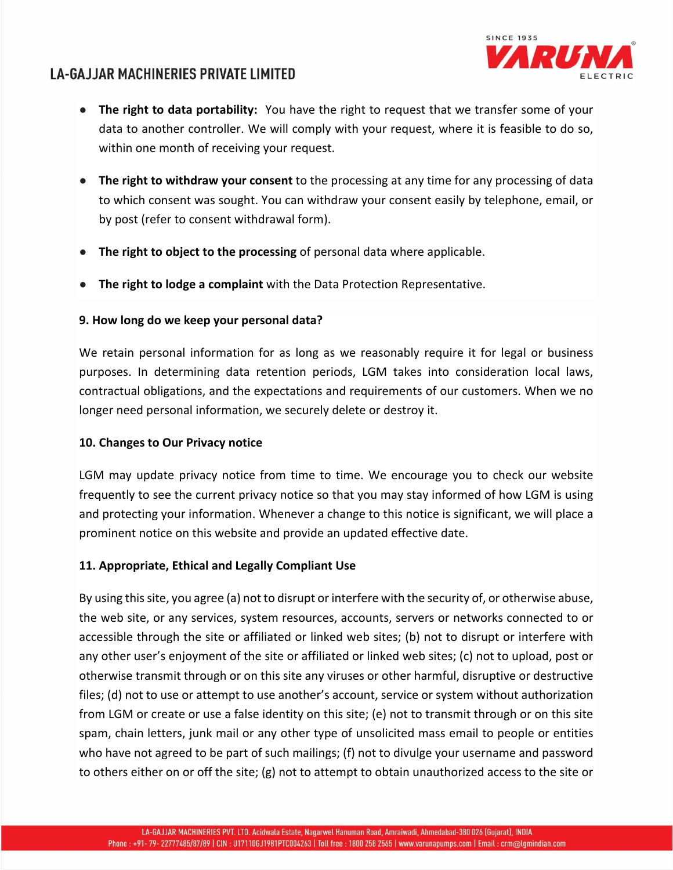

- **The right to data portability:** You have the right to request that we transfer some of your data to another controller. We will comply with your request, where it is feasible to do so, within one month of receiving your request.
- **The right to withdraw your consent** to the processing at any time for any processing of data to which consent was sought. You can withdraw your consent easily by telephone, email, or by post (refer to consent withdrawal form).
- **The right to object to the processing** of personal data where applicable.
- **The right to lodge a complaint** with the Data Protection Representative.

### **9. How long do we keep your personal data?**

We retain personal information for as long as we reasonably require it for legal or business purposes. In determining data retention periods, LGM takes into consideration local laws, contractual obligations, and the expectations and requirements of our customers. When we no longer need personal information, we securely delete or destroy it.

### **10. Changes to Our Privacy notice**

LGM may update privacy notice from time to time. We encourage you to check our website frequently to see the current privacy notice so that you may stay informed of how LGM is using and protecting your information. Whenever a change to this notice is significant, we will place a prominent notice on this website and provide an updated effective date.

### **11. Appropriate, Ethical and Legally Compliant Use**

By using this site, you agree (a) not to disrupt or interfere with the security of, or otherwise abuse, the web site, or any services, system resources, accounts, servers or networks connected to or accessible through the site or affiliated or linked web sites; (b) not to disrupt or interfere with any other user's enjoyment of the site or affiliated or linked web sites; (c) not to upload, post or otherwise transmit through or on this site any viruses or other harmful, disruptive or destructive files; (d) not to use or attempt to use another's account, service or system without authorization from LGM or create or use a false identity on this site; (e) not to transmit through or on this site spam, chain letters, junk mail or any other type of unsolicited mass email to people or entities who have not agreed to be part of such mailings; (f) not to divulge your username and password to others either on or off the site; (g) not to attempt to obtain unauthorized access to the site or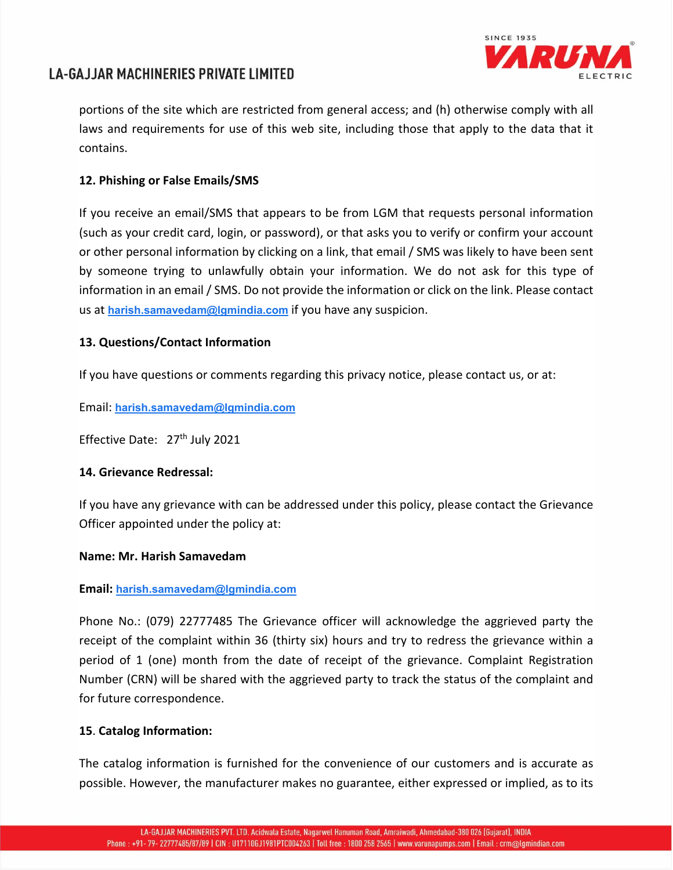

portions of the site which are restricted from general access; and (h) otherwise comply with all laws and requirements for use of this web site, including those that apply to the data that it contains.

## **12. Phishing or False Emails/SMS**

If you receive an email/SMS that appears to be from LGM that requests personal information (such as your credit card, login, or password), or that asks you to verify or confirm your account or other personal information by clicking on a link, that email / SMS was likely to have been sent by someone trying to unlawfully obtain your information. We do not ask for this type of information in an email / SMS. Do not provide the information or click on the link. Please contact us at **harish.samavedam@lgmindia.com** if you have any suspicion.

## **13. Questions/Contact Information**

If you have questions or comments regarding this privacy notice, please contact us, or at:

Email: **harish.samavedam@lgmindia.com**

Effective Date: 27<sup>th</sup> July 2021

## **14. Grievance Redressal:**

If you have any grievance with can be addressed under this policy, please contact the Grievance Officer appointed under the policy at:

### **Name: Mr. Harish Samavedam**

### **Email: harish.samavedam@lgmindia.com**

Phone No.: (079) 22777485 The Grievance officer will acknowledge the aggrieved party the receipt of the complaint within 36 (thirty six) hours and try to redress the grievance within a period of 1 (one) month from the date of receipt of the grievance. Complaint Registration Number (CRN) will be shared with the aggrieved party to track the status of the complaint and for future correspondence.

## **15**. **Catalog Information:**

The catalog information is furnished for the convenience of our customers and is accurate as possible. However, the manufacturer makes no guarantee, either expressed or implied, as to its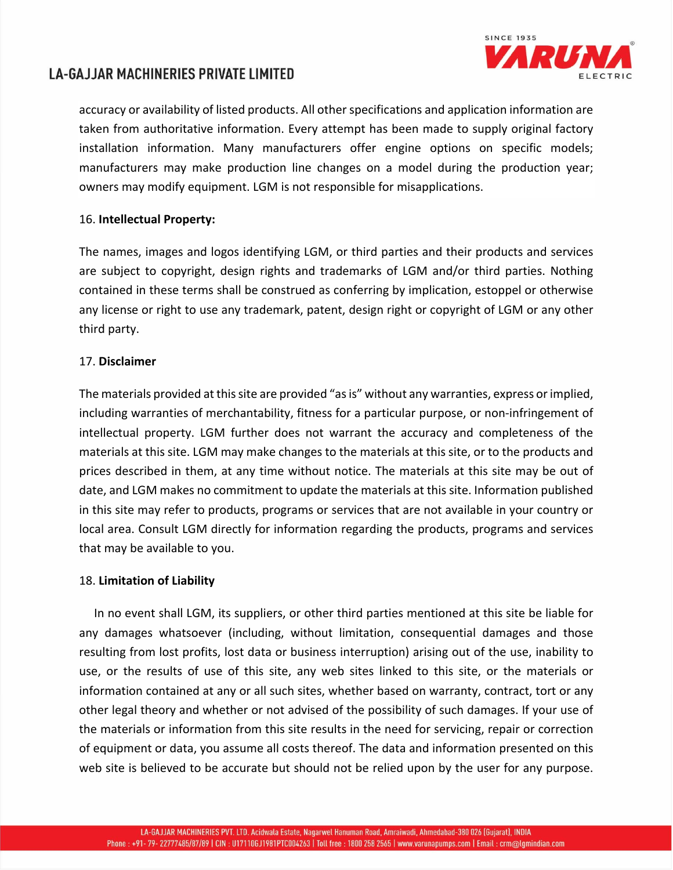

accuracy or availability of listed products. All other specifications and application information are taken from authoritative information. Every attempt has been made to supply original factory installation information. Many manufacturers offer engine options on specific models; manufacturers may make production line changes on a model during the production year; owners may modify equipment. LGM is not responsible for misapplications.

### 16. **Intellectual Property:**

The names, images and logos identifying LGM, or third parties and their products and services are subject to copyright, design rights and trademarks of LGM and/or third parties. Nothing contained in these terms shall be construed as conferring by implication, estoppel or otherwise any license or right to use any trademark, patent, design right or copyright of LGM or any other third party.

## 17. **Disclaimer**

The materials provided at this site are provided "as is" without any warranties, express or implied, including warranties of merchantability, fitness for a particular purpose, or non-infringement of intellectual property. LGM further does not warrant the accuracy and completeness of the materials at this site. LGM may make changes to the materials at this site, or to the products and prices described in them, at any time without notice. The materials at this site may be out of date, and LGM makes no commitment to update the materials at this site. Information published in this site may refer to products, programs or services that are not available in your country or local area. Consult LGM directly for information regarding the products, programs and services that may be available to you.

### 18. **Limitation of Liability**

 In no event shall LGM, its suppliers, or other third parties mentioned at this site be liable for any damages whatsoever (including, without limitation, consequential damages and those resulting from lost profits, lost data or business interruption) arising out of the use, inability to use, or the results of use of this site, any web sites linked to this site, or the materials or information contained at any or all such sites, whether based on warranty, contract, tort or any other legal theory and whether or not advised of the possibility of such damages. If your use of the materials or information from this site results in the need for servicing, repair or correction of equipment or data, you assume all costs thereof. The data and information presented on this web site is believed to be accurate but should not be relied upon by the user for any purpose.